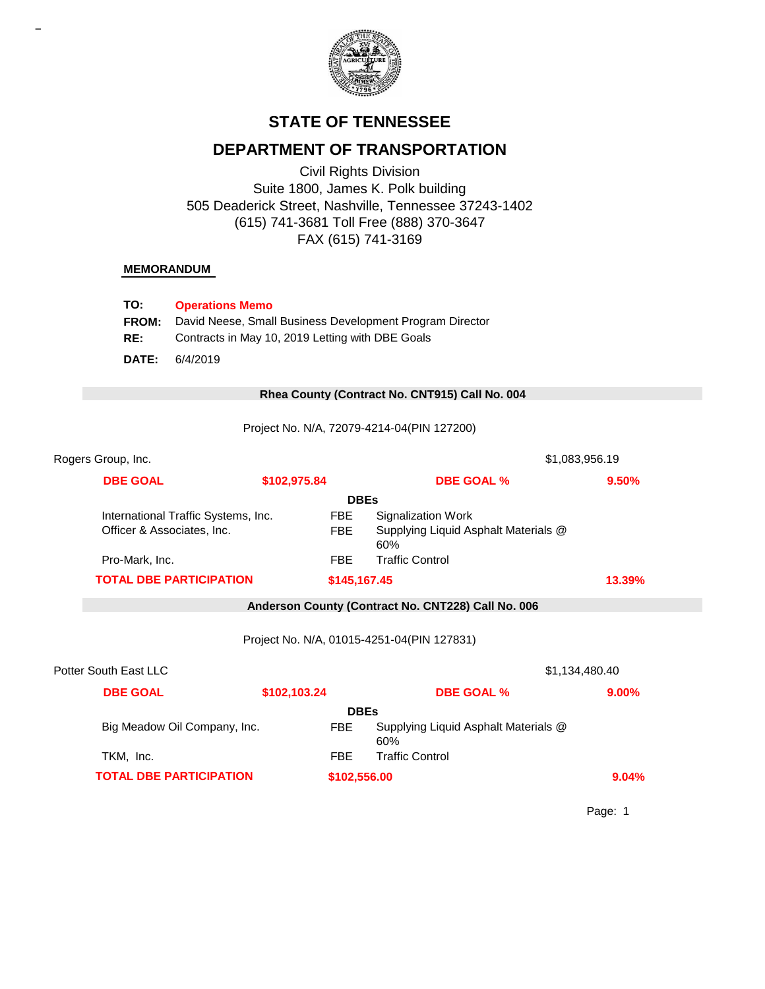

# **STATE OF TENNESSEE**

# **DEPARTMENT OF TRANSPORTATION**

Civil Rights Division Suite 1800, James K. Polk building 505 Deaderick Street, Nashville, Tennessee 37243-1402 (615) 741-3681 Toll Free (888) 370-3647 FAX (615) 741-3169

#### **MEMORANDUM**

| TO:          | <b>Operations Memo</b>                                   |
|--------------|----------------------------------------------------------|
| <b>FROM:</b> | David Neese, Small Business Development Program Director |
| RE:          | Contracts in May 10, 2019 Letting with DBE Goals         |
| DATE:        | 6/4/2019                                                 |

#### 0 **Rhea County (Contract No. CNT915) Call No. 004**

Project No. N/A, 72079-4214-04(PIN 127200)

| Rogers Group, Inc.    |                                                                   |              |              |                                                                          | \$1,083,956.19 |
|-----------------------|-------------------------------------------------------------------|--------------|--------------|--------------------------------------------------------------------------|----------------|
|                       | <b>DBE GOAL</b>                                                   | \$102,975.84 |              | <b>DBE GOAL %</b>                                                        | 9.50%          |
|                       |                                                                   |              | <b>DBEs</b>  |                                                                          |                |
|                       | International Traffic Systems, Inc.<br>Officer & Associates, Inc. |              | FBE<br>FBE.  | <b>Signalization Work</b><br>Supplying Liquid Asphalt Materials @<br>60% |                |
|                       | Pro-Mark, Inc.                                                    |              | FBE.         | <b>Traffic Control</b>                                                   |                |
|                       | <b>TOTAL DBE PARTICIPATION</b>                                    |              | \$145,167.45 |                                                                          | 13.39%         |
|                       |                                                                   |              |              | Anderson County (Contract No. CNT228) Call No. 006                       |                |
|                       |                                                                   |              |              | Project No. N/A, 01015-4251-04(PIN 127831)                               |                |
| Potter South East LLC |                                                                   |              |              |                                                                          | \$1,134,480.40 |
|                       | <b>DBE GOAL</b>                                                   | \$102,103.24 |              | <b>DBE GOAL %</b>                                                        | $9.00\%$       |

|                                | <b>DBEs</b>  |                                             |       |
|--------------------------------|--------------|---------------------------------------------|-------|
| Big Meadow Oil Company, Inc.   | FBE          | Supplying Liquid Asphalt Materials @<br>60% |       |
| TKM, Inc.                      | FBE          | Traffic Control                             |       |
| <b>TOTAL DBE PARTICIPATION</b> | \$102,556.00 |                                             | 9.04% |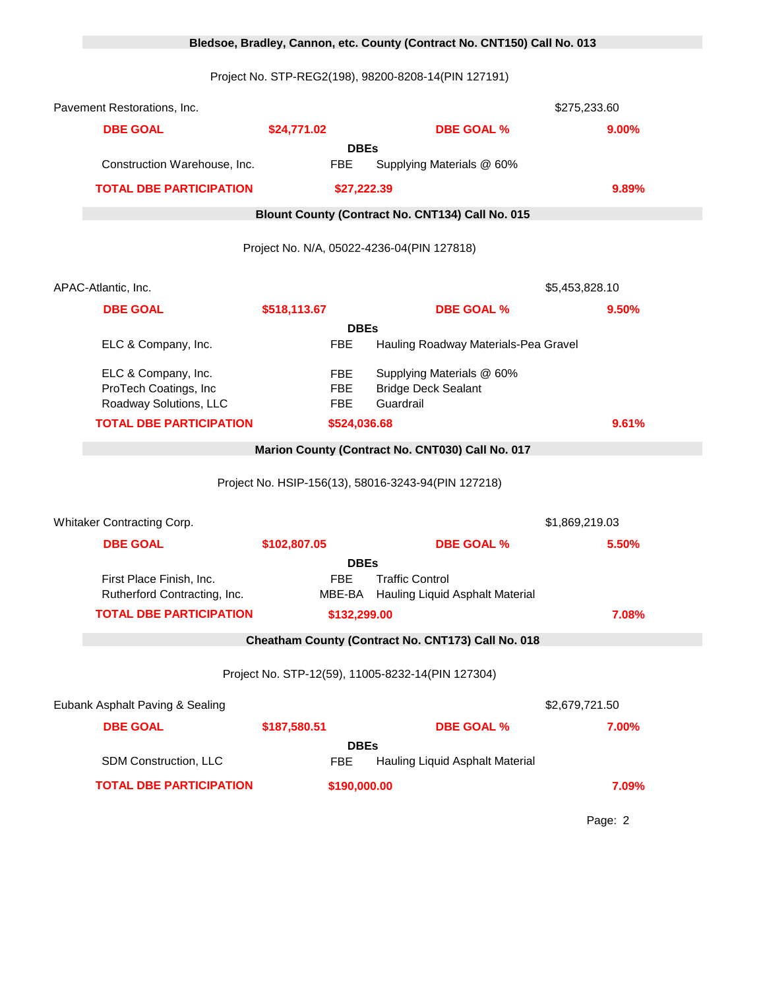|  |                                                                        |                                 | Bledsoe, Bradley, Cannon, etc. County (Contract No. CNT150) Call No. 013 |                |
|--|------------------------------------------------------------------------|---------------------------------|--------------------------------------------------------------------------|----------------|
|  |                                                                        |                                 |                                                                          |                |
|  | Pavement Restorations, Inc.                                            |                                 |                                                                          | \$275,233.60   |
|  | <b>DBE GOAL</b>                                                        | \$24,771.02                     | <b>DBE GOAL %</b>                                                        | 9.00%          |
|  |                                                                        | <b>DBEs</b>                     |                                                                          |                |
|  | Construction Warehouse, Inc.                                           | FBE                             | Supplying Materials @ 60%                                                |                |
|  | <b>TOTAL DBE PARTICIPATION</b>                                         | \$27,222.39                     |                                                                          | 9.89%          |
|  |                                                                        |                                 | Blount County (Contract No. CNT134) Call No. 015                         |                |
|  |                                                                        |                                 | Project No. N/A, 05022-4236-04(PIN 127818)                               |                |
|  | APAC-Atlantic, Inc.                                                    |                                 |                                                                          | \$5,453,828.10 |
|  | <b>DBE GOAL</b>                                                        | \$518,113.67                    | <b>DBE GOAL %</b>                                                        | 9.50%          |
|  |                                                                        | <b>DBEs</b>                     |                                                                          |                |
|  | ELC & Company, Inc.                                                    | <b>FBE</b>                      | Hauling Roadway Materials-Pea Gravel                                     |                |
|  | ELC & Company, Inc.<br>ProTech Coatings, Inc<br>Roadway Solutions, LLC | <b>FBE</b><br><b>FBE</b><br>FBE | Supplying Materials @ 60%<br><b>Bridge Deck Sealant</b><br>Guardrail     |                |
|  | <b>TOTAL DBE PARTICIPATION</b>                                         | \$524,036.68                    |                                                                          | 9.61%          |
|  |                                                                        |                                 | Marion County (Contract No. CNT030) Call No. 017                         |                |
|  |                                                                        |                                 | Project No. HSIP-156(13), 58016-3243-94(PIN 127218)                      |                |
|  | Whitaker Contracting Corp.                                             |                                 |                                                                          | \$1,869,219.03 |
|  | <b>DBE GOAL</b>                                                        | \$102,807.05                    | <b>DBE GOAL %</b>                                                        | 5.50%          |
|  |                                                                        | <b>DBEs</b>                     |                                                                          |                |
|  | First Place Finish, Inc.<br>Rutherford Contracting, Inc.               | FBE                             | <b>Traffic Control</b><br>MBE-BA Hauling Liquid Asphalt Material         |                |
|  | <b>TOTAL DBE PARTICIPATION</b>                                         | \$132,299.00                    |                                                                          | 7.08%          |
|  |                                                                        |                                 | Cheatham County (Contract No. CNT173) Call No. 018                       |                |
|  |                                                                        |                                 |                                                                          |                |
|  |                                                                        |                                 | Project No. STP-12(59), 11005-8232-14(PIN 127304)                        |                |
|  | Eubank Asphalt Paving & Sealing                                        |                                 |                                                                          | \$2,679,721.50 |
|  | <b>DBE GOAL</b>                                                        | \$187,580.51                    | <b>DBE GOAL %</b>                                                        | 7.00%          |
|  | SDM Construction, LLC                                                  | <b>DBEs</b><br><b>FBE</b>       | Hauling Liquid Asphalt Material                                          |                |
|  | <b>TOTAL DBE PARTICIPATION</b>                                         | \$190,000.00                    |                                                                          | 7.09%          |
|  |                                                                        |                                 |                                                                          |                |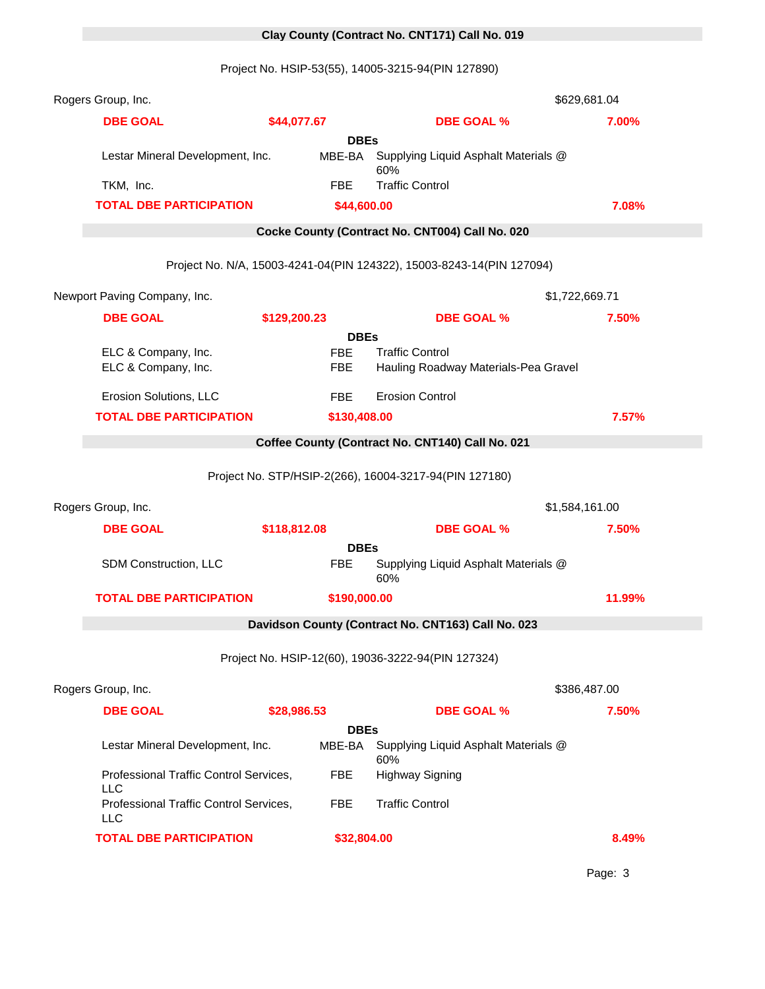# 0 **Clay County (Contract No. CNT171) Call No. 019**

Project No. HSIP-53(55), 14005-3215-94(PIN 127890)

| Rogers Group, Inc.                                   |              |              |                                                                       | \$629,681.04   |
|------------------------------------------------------|--------------|--------------|-----------------------------------------------------------------------|----------------|
| <b>DBE GOAL</b>                                      | \$44,077.67  |              | <b>DBE GOAL %</b>                                                     | 7.00%          |
|                                                      |              | <b>DBEs</b>  |                                                                       |                |
| Lestar Mineral Development, Inc.                     |              | MBE-BA       | Supplying Liquid Asphalt Materials @<br>60%                           |                |
| TKM, Inc.                                            |              | <b>FBE</b>   | <b>Traffic Control</b>                                                |                |
| <b>TOTAL DBE PARTICIPATION</b>                       |              | \$44,600.00  |                                                                       | 7.08%          |
|                                                      |              |              | Cocke County (Contract No. CNT004) Call No. 020                       |                |
|                                                      |              |              | Project No. N/A, 15003-4241-04(PIN 124322), 15003-8243-14(PIN 127094) |                |
| Newport Paving Company, Inc.                         |              |              |                                                                       | \$1,722,669.71 |
| <b>DBE GOAL</b>                                      | \$129,200.23 |              | <b>DBE GOAL %</b>                                                     | 7.50%          |
|                                                      |              | <b>DBEs</b>  |                                                                       |                |
| ELC & Company, Inc.                                  |              | <b>FBE</b>   | <b>Traffic Control</b>                                                |                |
| ELC & Company, Inc.                                  |              | <b>FBE</b>   | Hauling Roadway Materials-Pea Gravel                                  |                |
| Erosion Solutions, LLC                               |              | <b>FBE</b>   | <b>Erosion Control</b>                                                |                |
| <b>TOTAL DBE PARTICIPATION</b>                       |              | \$130,408.00 |                                                                       | 7.57%          |
|                                                      |              |              | Coffee County (Contract No. CNT140) Call No. 021                      |                |
|                                                      |              |              |                                                                       |                |
|                                                      |              |              | Project No. STP/HSIP-2(266), 16004-3217-94(PIN 127180)                |                |
| Rogers Group, Inc.                                   |              |              |                                                                       | \$1,584,161.00 |
| <b>DBE GOAL</b>                                      | \$118,812.08 |              | <b>DBE GOAL %</b>                                                     | 7.50%          |
|                                                      |              | <b>DBEs</b>  |                                                                       |                |
| SDM Construction, LLC                                |              | <b>FBE</b>   | Supplying Liquid Asphalt Materials @<br>60%                           |                |
| <b>TOTAL DBE PARTICIPATION</b>                       |              | \$190,000.00 |                                                                       | 11.99%         |
|                                                      |              |              | Davidson County (Contract No. CNT163) Call No. 023                    |                |
|                                                      |              |              | Project No. HSIP-12(60), 19036-3222-94(PIN 127324)                    |                |
| Rogers Group, Inc.                                   |              |              |                                                                       | \$386,487.00   |
| <b>DBE GOAL</b>                                      | \$28,986.53  |              | <b>DBE GOAL %</b>                                                     | 7.50%          |
|                                                      |              | <b>DBEs</b>  |                                                                       |                |
| Lestar Mineral Development, Inc.                     |              | MBE-BA       | Supplying Liquid Asphalt Materials @<br>60%                           |                |
| Professional Traffic Control Services,<br><b>LLC</b> |              | <b>FBE</b>   | <b>Highway Signing</b>                                                |                |
| Professional Traffic Control Services,<br><b>LLC</b> |              | <b>FBE</b>   | <b>Traffic Control</b>                                                |                |
| <b>TOTAL DBE PARTICIPATION</b>                       |              | \$32,804.00  |                                                                       | 8.49%          |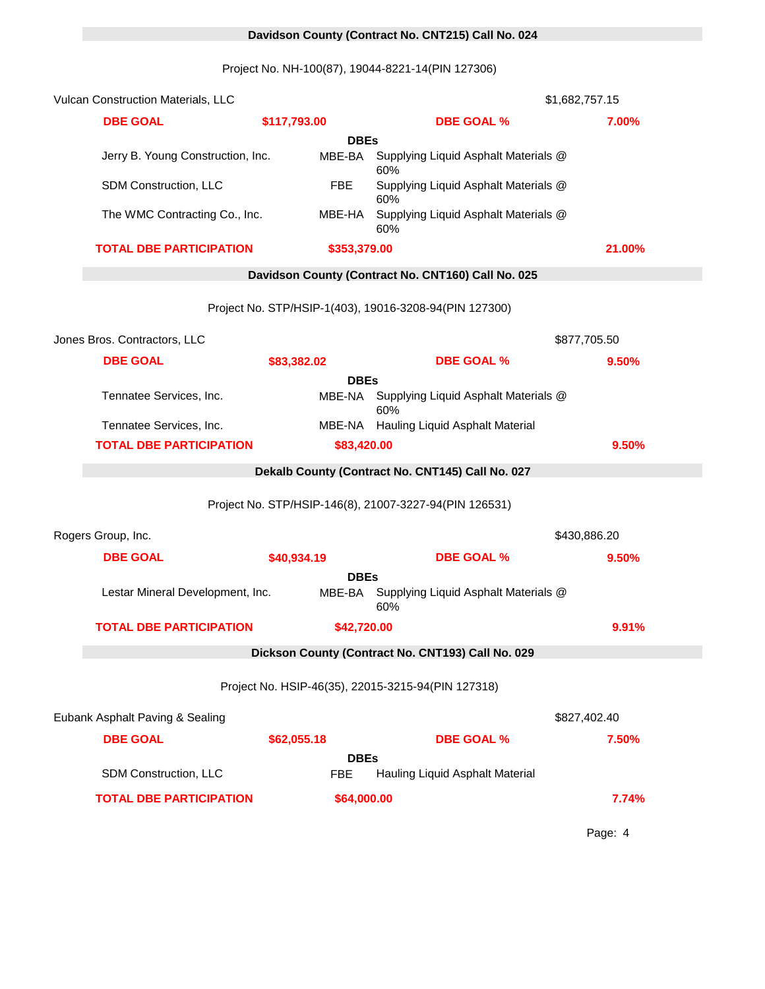# 0 **Davidson County (Contract No. CNT215) Call No. 024**

Project No. NH-100(87), 19044-8221-14(PIN 127306)

| <b>Vulcan Construction Materials, LLC</b> |                           | \$1,682,757.15                                         |              |  |
|-------------------------------------------|---------------------------|--------------------------------------------------------|--------------|--|
| <b>DBE GOAL</b>                           | \$117,793.00              | <b>DBE GOAL %</b>                                      | 7.00%        |  |
|                                           | <b>DBEs</b>               |                                                        |              |  |
| Jerry B. Young Construction, Inc.         | MBE-BA                    | Supplying Liquid Asphalt Materials @<br>60%            |              |  |
| SDM Construction, LLC                     | <b>FBE</b>                | Supplying Liquid Asphalt Materials @<br>60%            |              |  |
| The WMC Contracting Co., Inc.             | MBE-HA                    | Supplying Liquid Asphalt Materials @<br>60%            |              |  |
| <b>TOTAL DBE PARTICIPATION</b>            | \$353,379.00              |                                                        | 21.00%       |  |
|                                           |                           | Davidson County (Contract No. CNT160) Call No. 025     |              |  |
|                                           |                           | Project No. STP/HSIP-1(403), 19016-3208-94(PIN 127300) |              |  |
| Jones Bros. Contractors, LLC              |                           |                                                        | \$877,705.50 |  |
| <b>DBE GOAL</b>                           | \$83,382.02               | <b>DBE GOAL %</b>                                      | 9.50%        |  |
|                                           | <b>DBEs</b>               |                                                        |              |  |
| Tennatee Services, Inc.                   | MBE-NA                    | Supplying Liquid Asphalt Materials @<br>60%            |              |  |
| Tennatee Services, Inc.                   |                           | MBE-NA Hauling Liquid Asphalt Material                 |              |  |
| <b>TOTAL DBE PARTICIPATION</b>            | \$83,420.00               |                                                        | 9.50%        |  |
|                                           |                           | Dekalb County (Contract No. CNT145) Call No. 027       |              |  |
|                                           |                           | Project No. STP/HSIP-146(8), 21007-3227-94(PIN 126531) |              |  |
| Rogers Group, Inc.                        |                           |                                                        | \$430,886.20 |  |
| <b>DBE GOAL</b>                           | \$40,934.19               | <b>DBE GOAL %</b>                                      | 9.50%        |  |
| Lestar Mineral Development, Inc.          | <b>DBEs</b><br>MBE-BA     | Supplying Liquid Asphalt Materials @                   |              |  |
|                                           |                           | 60%                                                    |              |  |
| <b>TOTAL DBE PARTICIPATION</b>            | \$42,720.00               |                                                        | 9.91%        |  |
|                                           |                           | Dickson County (Contract No. CNT193) Call No. 029      |              |  |
|                                           |                           | Project No. HSIP-46(35), 22015-3215-94(PIN 127318)     |              |  |
| Eubank Asphalt Paving & Sealing           |                           |                                                        | \$827,402.40 |  |
| <b>DBE GOAL</b>                           | \$62,055.18               | <b>DBE GOAL %</b>                                      | 7.50%        |  |
| SDM Construction, LLC                     | <b>DBEs</b><br><b>FBE</b> | Hauling Liquid Asphalt Material                        |              |  |
| <b>TOTAL DBE PARTICIPATION</b>            | \$64,000.00               |                                                        | 7.74%        |  |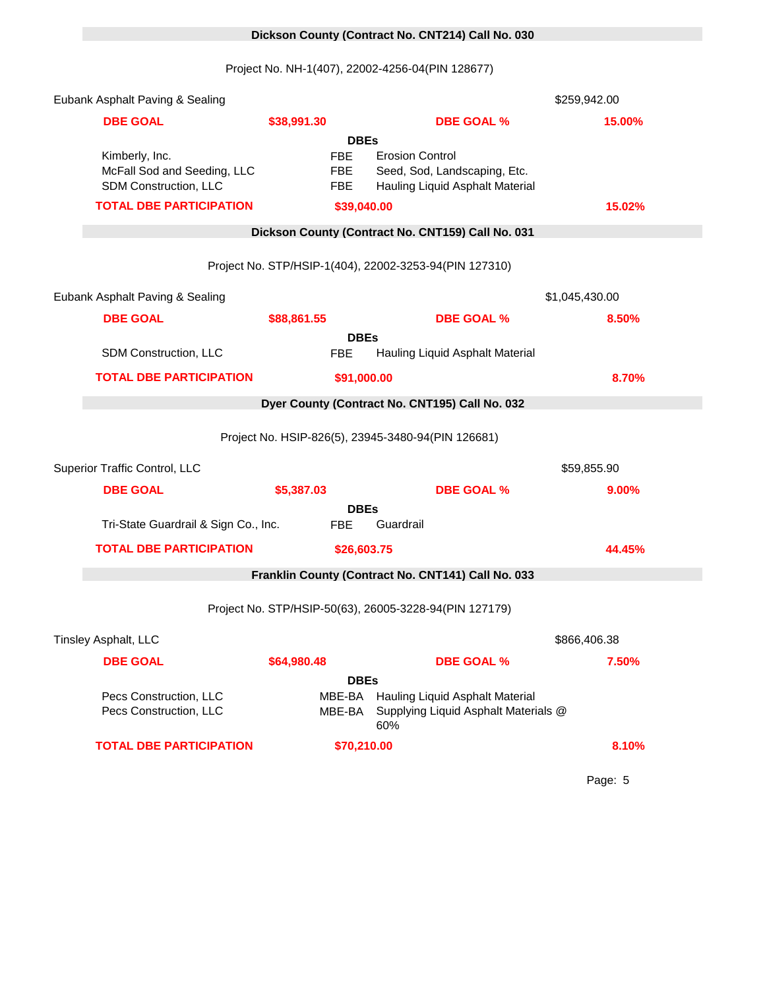# 0 **Dickson County (Contract No. CNT214) Call No. 030**

Project No. NH-1(407), 22002-4256-04(PIN 128677)

| Eubank Asphalt Paving & Sealing                  |                          |                                                                                | \$259,942.00   |
|--------------------------------------------------|--------------------------|--------------------------------------------------------------------------------|----------------|
| <b>DBE GOAL</b>                                  | \$38,991.30              | <b>DBE GOAL %</b>                                                              | 15.00%         |
|                                                  | <b>DBEs</b>              |                                                                                |                |
| Kimberly, Inc.<br>McFall Sod and Seeding, LLC    | <b>FBE</b><br><b>FBE</b> | <b>Erosion Control</b><br>Seed, Sod, Landscaping, Etc.                         |                |
| SDM Construction, LLC                            | <b>FBE</b>               | Hauling Liquid Asphalt Material                                                |                |
| <b>TOTAL DBE PARTICIPATION</b>                   | \$39,040.00              |                                                                                | 15.02%         |
|                                                  |                          | Dickson County (Contract No. CNT159) Call No. 031                              |                |
|                                                  |                          | Project No. STP/HSIP-1(404), 22002-3253-94(PIN 127310)                         |                |
| Eubank Asphalt Paving & Sealing                  |                          |                                                                                | \$1,045,430.00 |
| <b>DBE GOAL</b>                                  | \$88,861.55              | <b>DBE GOAL %</b>                                                              | 8.50%          |
|                                                  | <b>DBEs</b>              |                                                                                |                |
| SDM Construction, LLC                            | <b>FBE</b>               | Hauling Liquid Asphalt Material                                                |                |
| <b>TOTAL DBE PARTICIPATION</b>                   | \$91,000.00              |                                                                                | 8.70%          |
|                                                  |                          | Dyer County (Contract No. CNT195) Call No. 032                                 |                |
|                                                  |                          | Project No. HSIP-826(5), 23945-3480-94(PIN 126681)                             |                |
| Superior Traffic Control, LLC                    |                          |                                                                                | \$59,855.90    |
| <b>DBE GOAL</b>                                  | \$5,387.03               | <b>DBE GOAL %</b>                                                              | 9.00%          |
|                                                  | <b>DBEs</b>              |                                                                                |                |
| Tri-State Guardrail & Sign Co., Inc.             | <b>FBE</b>               | Guardrail                                                                      |                |
| <b>TOTAL DBE PARTICIPATION</b>                   | \$26,603.75              |                                                                                | 44.45%         |
|                                                  |                          | Franklin County (Contract No. CNT141) Call No. 033                             |                |
|                                                  |                          | Project No. STP/HSIP-50(63), 26005-3228-94(PIN 127179)                         |                |
| Tinsley Asphalt, LLC                             |                          |                                                                                | \$866,406.38   |
| <b>DBE GOAL</b>                                  | \$64,980.48              | <b>DBE GOAL %</b>                                                              | 7.50%          |
|                                                  | <b>DBEs</b>              |                                                                                |                |
| Pecs Construction, LLC<br>Pecs Construction, LLC | MBE-BA<br>MBE-BA         | Hauling Liquid Asphalt Material<br>Supplying Liquid Asphalt Materials @<br>60% |                |
| <b>TOTAL DBE PARTICIPATION</b>                   | \$70,210.00              |                                                                                | 8.10%          |
|                                                  |                          |                                                                                |                |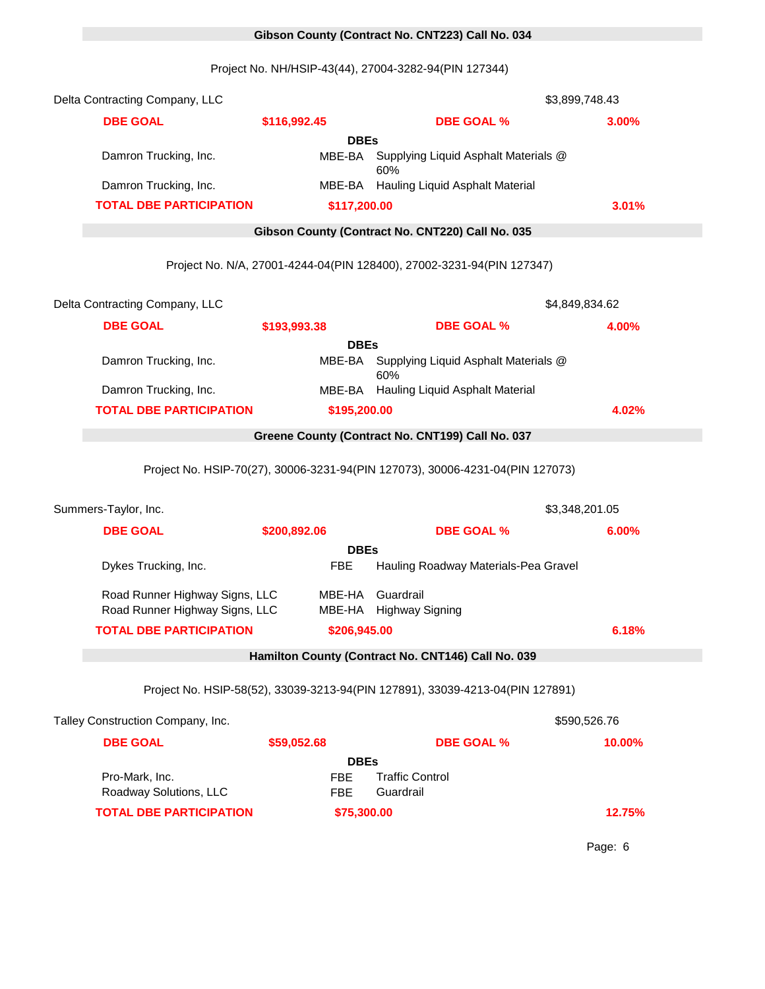# 0 **Gibson County (Contract No. CNT223) Call No. 034**

Project No. NH/HSIP-43(44), 27004-3282-94(PIN 127344)

| Delta Contracting Company, LLC                                   |                   |                                                                               | \$3,899,748.43 |
|------------------------------------------------------------------|-------------------|-------------------------------------------------------------------------------|----------------|
| <b>DBE GOAL</b>                                                  | \$116,992.45      | <b>DBE GOAL %</b>                                                             | 3.00%          |
|                                                                  | <b>DBEs</b>       |                                                                               |                |
| Damron Trucking, Inc.                                            | MBE-BA            | Supplying Liquid Asphalt Materials @<br>60%                                   |                |
| Damron Trucking, Inc.                                            |                   | MBE-BA Hauling Liquid Asphalt Material                                        |                |
| <b>TOTAL DBE PARTICIPATION</b>                                   | \$117,200.00      |                                                                               | 3.01%          |
|                                                                  |                   | Gibson County (Contract No. CNT220) Call No. 035                              |                |
|                                                                  |                   | Project No. N/A, 27001-4244-04(PIN 128400), 27002-3231-94(PIN 127347)         |                |
| Delta Contracting Company, LLC                                   |                   |                                                                               | \$4,849,834.62 |
| <b>DBE GOAL</b>                                                  | \$193,993.38      | <b>DBE GOAL %</b>                                                             | 4.00%          |
|                                                                  | <b>DBEs</b>       |                                                                               |                |
| Damron Trucking, Inc.                                            | MBE-BA            | Supplying Liquid Asphalt Materials @<br>60%                                   |                |
| Damron Trucking, Inc.                                            |                   | MBE-BA Hauling Liquid Asphalt Material                                        |                |
| <b>TOTAL DBE PARTICIPATION</b>                                   | \$195,200.00      |                                                                               | 4.02%          |
|                                                                  |                   | Greene County (Contract No. CNT199) Call No. 037                              |                |
|                                                                  |                   | Project No. HSIP-70(27), 30006-3231-94(PIN 127073), 30006-4231-04(PIN 127073) |                |
| Summers-Taylor, Inc.                                             |                   |                                                                               | \$3,348,201.05 |
| <b>DBE GOAL</b>                                                  | \$200,892.06      | <b>DBE GOAL %</b>                                                             | 6.00%          |
|                                                                  | <b>DBEs</b>       |                                                                               |                |
| Dykes Trucking, Inc.                                             | <b>FBE</b>        | Hauling Roadway Materials-Pea Gravel                                          |                |
| Road Runner Highway Signs, LLC<br>Road Runner Highway Signs, LLC |                   | MBE-HA Guardrail<br>MBE-HA Highway Signing                                    |                |
| <b>TOTAL DBE PARTICIPATION</b>                                   | \$206,945.00      |                                                                               | 6.18%          |
|                                                                  |                   | Hamilton County (Contract No. CNT146) Call No. 039                            |                |
|                                                                  |                   | Project No. HSIP-58(52), 33039-3213-94(PIN 127891), 33039-4213-04(PIN 127891) |                |
| Talley Construction Company, Inc.                                |                   |                                                                               | \$590,526.76   |
| <b>DBE GOAL</b>                                                  | \$59,052.68       | <b>DBE GOAL %</b>                                                             | 10.00%         |
|                                                                  | <b>DBEs</b>       |                                                                               |                |
| Pro-Mark, Inc.<br>Roadway Solutions, LLC                         | FBE<br><b>FBE</b> | <b>Traffic Control</b><br>Guardrail                                           |                |
| <b>TOTAL DBE PARTICIPATION</b>                                   | \$75,300.00       |                                                                               | 12.75%         |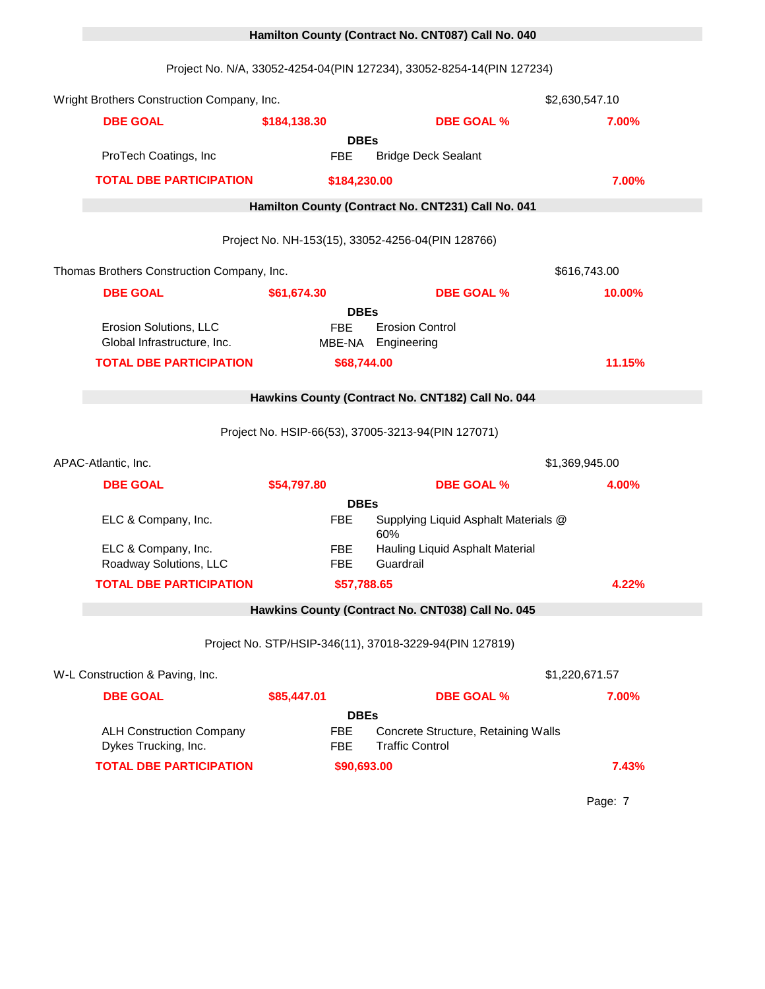# Project No. N/A, 33052-4254-04(PIN 127234), 33052-8254-14(PIN 127234) Wright Brothers Construction Company, Inc. 15741 10 1574 1675 1681 1691 1691 1691 1692,630,547.10 **DBE GOAL \$184,138.30 DBE GOAL % 7.00% DBEs** ProTech Coatings, Inc FBE Bridge Deck Sealant **TOTAL DBE PARTICIPATION \$184,230.00 7.00%** 0 **Hamilton County (Contract No. CNT231) Call No. 041** Project No. NH-153(15), 33052-4256-04(PIN 128766) Thomas Brothers Construction Company, Inc. 16028 10028 \$616,743.00 **DBE GOAL \$61,674.30 DBE GOAL % 10.00% DBEs** Erosion Solutions, LLC FBE Erosion Control Global Infrastructure, Inc. MBE-NA Engineering **TOTAL DBE PARTICIPATION \$68,744.00 11.15%** 0 **Hawkins County (Contract No. CNT182) Call No. 044** Project No. HSIP-66(53), 37005-3213-94(PIN 127071) APAC-Atlantic, Inc. 15957 \$1,369,945.00 **DBE GOAL \$54,797.80 DBE GOAL % 4.00% DBEs** ELC & Company, Inc. The Supplying Liquid Asphalt Materials @ 60% ELC & Company, Inc. The FBE Hauling Liquid Asphalt Material Roadway Solutions, LLC FBE Guardrail **TOTAL DBE PARTICIPATION \$57,788.65 4.22%** 0 **Hawkins County (Contract No. CNT038) Call No. 045** Project No. STP/HSIP-346(11), 37018-3229-94(PIN 127819) W-L Construction & Paving, Inc. 16030 \$1,220,671.57 **DBE GOAL \$85,447.01 DBE GOAL % 7.00% DBEs** ALH Construction Company FBE Concrete Structure, Retaining Walls Dykes Trucking, Inc. THE Traffic Control **TOTAL DBE PARTICIPATION \$90,693.00 7.43%**

0 **Hamilton County (Contract No. CNT087) Call No. 040**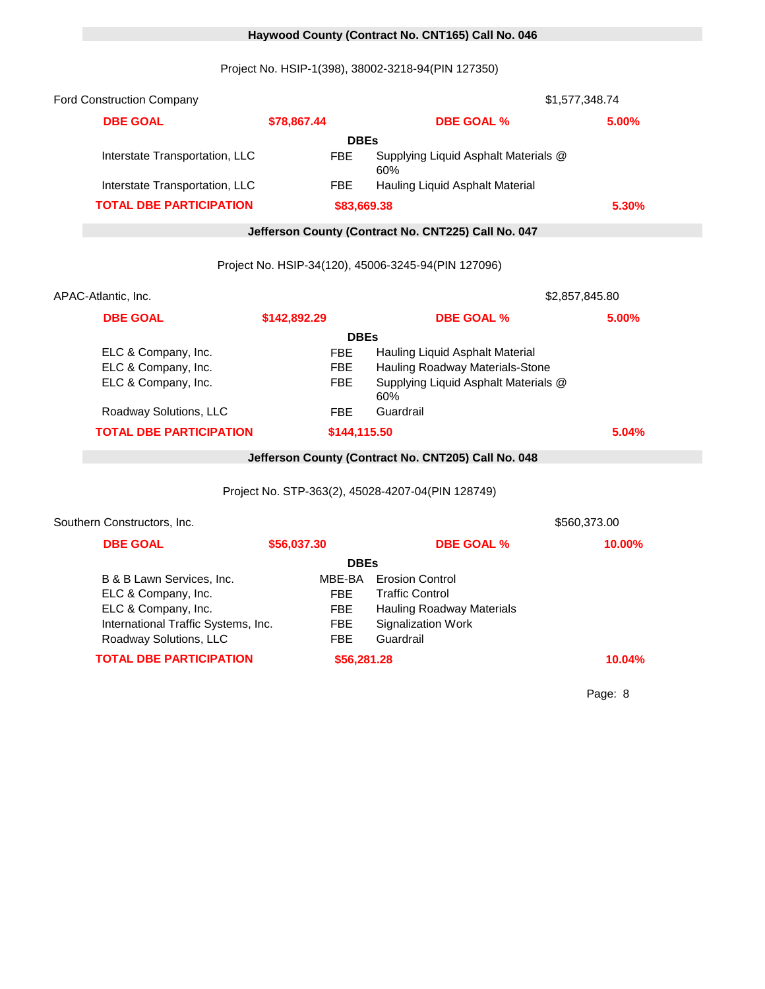# 0 **Haywood County (Contract No. CNT165) Call No. 046**

Project No. HSIP-1(398), 38002-3218-94(PIN 127350)

| <b>Ford Construction Company</b>    |              |                                                     | \$1,577,348.74 |
|-------------------------------------|--------------|-----------------------------------------------------|----------------|
| <b>DBE GOAL</b>                     | \$78,867.44  | <b>DBE GOAL %</b>                                   | 5.00%          |
|                                     | <b>DBEs</b>  |                                                     |                |
| Interstate Transportation, LLC      | <b>FBE</b>   | Supplying Liquid Asphalt Materials @<br>60%         |                |
| Interstate Transportation, LLC      | <b>FBE</b>   | Hauling Liquid Asphalt Material                     |                |
| <b>TOTAL DBE PARTICIPATION</b>      | \$83,669.38  |                                                     | 5.30%          |
|                                     |              | Jefferson County (Contract No. CNT225) Call No. 047 |                |
|                                     |              | Project No. HSIP-34(120), 45006-3245-94(PIN 127096) |                |
|                                     |              |                                                     |                |
| APAC-Atlantic, Inc.                 |              |                                                     | \$2,857,845.80 |
| <b>DBE GOAL</b>                     | \$142,892.29 | <b>DBE GOAL %</b>                                   | 5.00%          |
|                                     | <b>DBEs</b>  |                                                     |                |
| ELC & Company, Inc.                 | <b>FBE</b>   | Hauling Liquid Asphalt Material                     |                |
| ELC & Company, Inc.                 | <b>FBE</b>   | Hauling Roadway Materials-Stone                     |                |
| ELC & Company, Inc.                 | <b>FBE</b>   | Supplying Liquid Asphalt Materials @<br>60%         |                |
| Roadway Solutions, LLC              | <b>FBE</b>   | Guardrail                                           |                |
| <b>TOTAL DBE PARTICIPATION</b>      | \$144,115.50 |                                                     | 5.04%          |
|                                     |              | Jefferson County (Contract No. CNT205) Call No. 048 |                |
|                                     |              |                                                     |                |
|                                     |              | Project No. STP-363(2), 45028-4207-04(PIN 128749)   |                |
| Southern Constructors, Inc.         |              |                                                     | \$560,373.00   |
| <b>DBE GOAL</b>                     | \$56,037.30  | <b>DBE GOAL %</b>                                   | 10.00%         |
|                                     | <b>DBEs</b>  |                                                     |                |
| B & B Lawn Services, Inc.           | MBE-BA       | <b>Erosion Control</b>                              |                |
| ELC & Company, Inc.                 | <b>FBE</b>   | <b>Traffic Control</b>                              |                |
| ELC & Company, Inc.                 | <b>FBE</b>   | Hauling Roadway Materials                           |                |
| International Traffic Systems, Inc. | <b>FBE</b>   | <b>Signalization Work</b>                           |                |
| Roadway Solutions, LLC              | <b>FBE</b>   | Guardrail                                           |                |
| <b>TOTAL DBE PARTICIPATION</b>      | \$56,281.28  |                                                     | 10.04%         |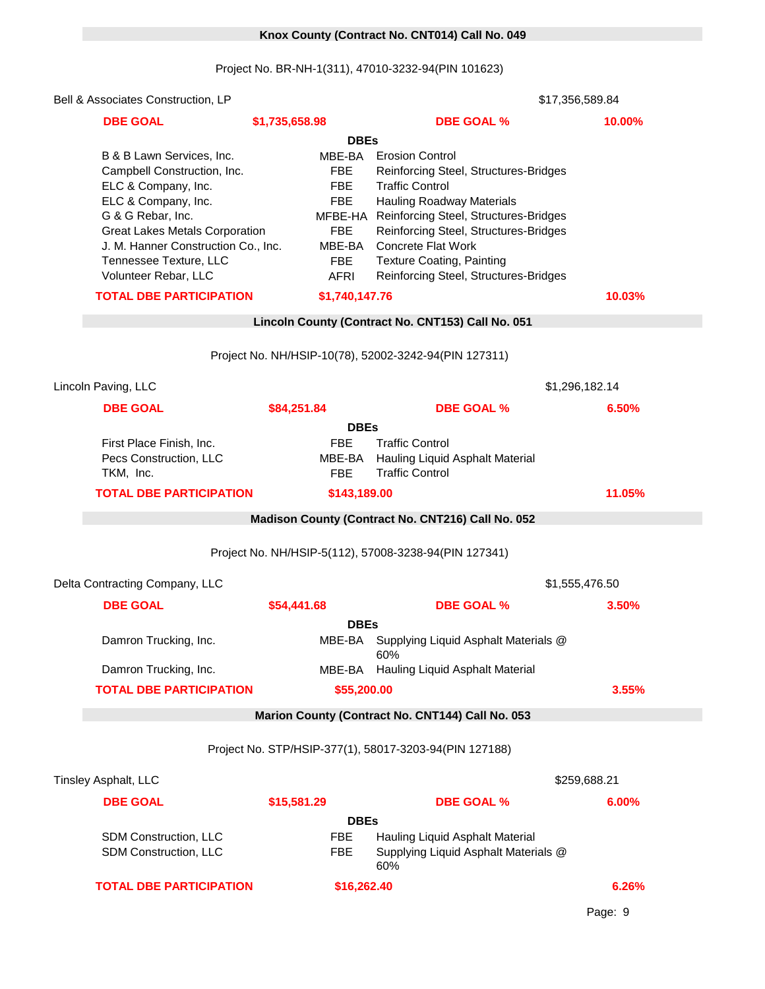### 0 **Knox County (Contract No. CNT014) Call No. 049**

Project No. BR-NH-1(311), 47010-3232-94(PIN 101623)

| Bell & Associates Construction, LP                                                                                                                                   |                                                                |                                                                                                                                                                                                                         | \$17,356,589.84 |
|----------------------------------------------------------------------------------------------------------------------------------------------------------------------|----------------------------------------------------------------|-------------------------------------------------------------------------------------------------------------------------------------------------------------------------------------------------------------------------|-----------------|
| <b>DBE GOAL</b>                                                                                                                                                      | \$1,735,658.98                                                 | <b>DBE GOAL %</b>                                                                                                                                                                                                       | 10.00%          |
|                                                                                                                                                                      | <b>DBEs</b>                                                    |                                                                                                                                                                                                                         |                 |
| B & B Lawn Services, Inc.<br>Campbell Construction, Inc.<br>ELC & Company, Inc.<br>ELC & Company, Inc.<br>G & G Rebar, Inc.<br><b>Great Lakes Metals Corporation</b> | MBE-BA<br><b>FBE</b><br><b>FBE</b><br><b>FBE</b><br><b>FBE</b> | <b>Erosion Control</b><br>Reinforcing Steel, Structures-Bridges<br><b>Traffic Control</b><br><b>Hauling Roadway Materials</b><br>MFBE-HA Reinforcing Steel, Structures-Bridges<br>Reinforcing Steel, Structures-Bridges |                 |
| J. M. Hanner Construction Co., Inc.<br>Tennessee Texture, LLC<br>Volunteer Rebar, LLC                                                                                | MBE-BA<br><b>FBE</b><br><b>AFRI</b>                            | <b>Concrete Flat Work</b><br><b>Texture Coating, Painting</b><br>Reinforcing Steel, Structures-Bridges                                                                                                                  |                 |
| <b>TOTAL DBE PARTICIPATION</b>                                                                                                                                       | \$1,740,147.76                                                 |                                                                                                                                                                                                                         | 10.03%          |
|                                                                                                                                                                      |                                                                | Lincoln County (Contract No. CNT153) Call No. 051                                                                                                                                                                       |                 |
|                                                                                                                                                                      |                                                                | Project No. NH/HSIP-10(78), 52002-3242-94(PIN 127311)                                                                                                                                                                   |                 |
| Lincoln Paving, LLC                                                                                                                                                  |                                                                |                                                                                                                                                                                                                         | \$1,296,182.14  |
| <b>DBE GOAL</b>                                                                                                                                                      | \$84,251.84                                                    | <b>DBE GOAL %</b>                                                                                                                                                                                                       | 6.50%           |
|                                                                                                                                                                      | <b>DBEs</b>                                                    |                                                                                                                                                                                                                         |                 |
| First Place Finish, Inc.<br>Pecs Construction, LLC<br>TKM, Inc.                                                                                                      | <b>FBE</b><br>MBE-BA<br><b>FBE</b>                             | <b>Traffic Control</b><br>Hauling Liquid Asphalt Material<br><b>Traffic Control</b>                                                                                                                                     |                 |
| <b>TOTAL DBE PARTICIPATION</b>                                                                                                                                       | \$143,189.00                                                   |                                                                                                                                                                                                                         | 11.05%          |
|                                                                                                                                                                      |                                                                | Madison County (Contract No. CNT216) Call No. 052                                                                                                                                                                       |                 |
|                                                                                                                                                                      |                                                                | Project No. NH/HSIP-5(112), 57008-3238-94(PIN 127341)                                                                                                                                                                   |                 |
| Delta Contracting Company, LLC                                                                                                                                       |                                                                |                                                                                                                                                                                                                         | \$1,555,476.50  |
| <b>DBE GOAL</b>                                                                                                                                                      | \$54,441.68                                                    | <b>DBE GOAL %</b>                                                                                                                                                                                                       | 3.50%           |
|                                                                                                                                                                      | <b>DBEs</b>                                                    |                                                                                                                                                                                                                         |                 |
| Damron Trucking, Inc.                                                                                                                                                | MBE-BA                                                         | Supplying Liquid Asphalt Materials @<br>60%                                                                                                                                                                             |                 |
| Damron Trucking, Inc.                                                                                                                                                | MBE-BA                                                         | Hauling Liquid Asphalt Material                                                                                                                                                                                         |                 |
| <b>TOTAL DBE PARTICIPATION</b>                                                                                                                                       | \$55,200.00                                                    |                                                                                                                                                                                                                         | 3.55%           |
|                                                                                                                                                                      |                                                                | Marion County (Contract No. CNT144) Call No. 053                                                                                                                                                                        |                 |
|                                                                                                                                                                      |                                                                | Project No. STP/HSIP-377(1), 58017-3203-94(PIN 127188)                                                                                                                                                                  |                 |
| Tinsley Asphalt, LLC                                                                                                                                                 |                                                                |                                                                                                                                                                                                                         | \$259,688.21    |
| <b>DBE GOAL</b>                                                                                                                                                      | \$15,581.29                                                    | <b>DBE GOAL %</b>                                                                                                                                                                                                       | 6.00%           |
|                                                                                                                                                                      | <b>DBEs</b>                                                    |                                                                                                                                                                                                                         |                 |

|                                | <b>DBES</b> |                                             |       |
|--------------------------------|-------------|---------------------------------------------|-------|
| <b>SDM Construction, LLC</b>   | FBE.        | Hauling Liquid Asphalt Material             |       |
| <b>SDM Construction, LLC</b>   | FBE         | Supplying Liquid Asphalt Materials @<br>60% |       |
| <b>TOTAL DBE PARTICIPATION</b> |             | \$16,262,40                                 | 6.26% |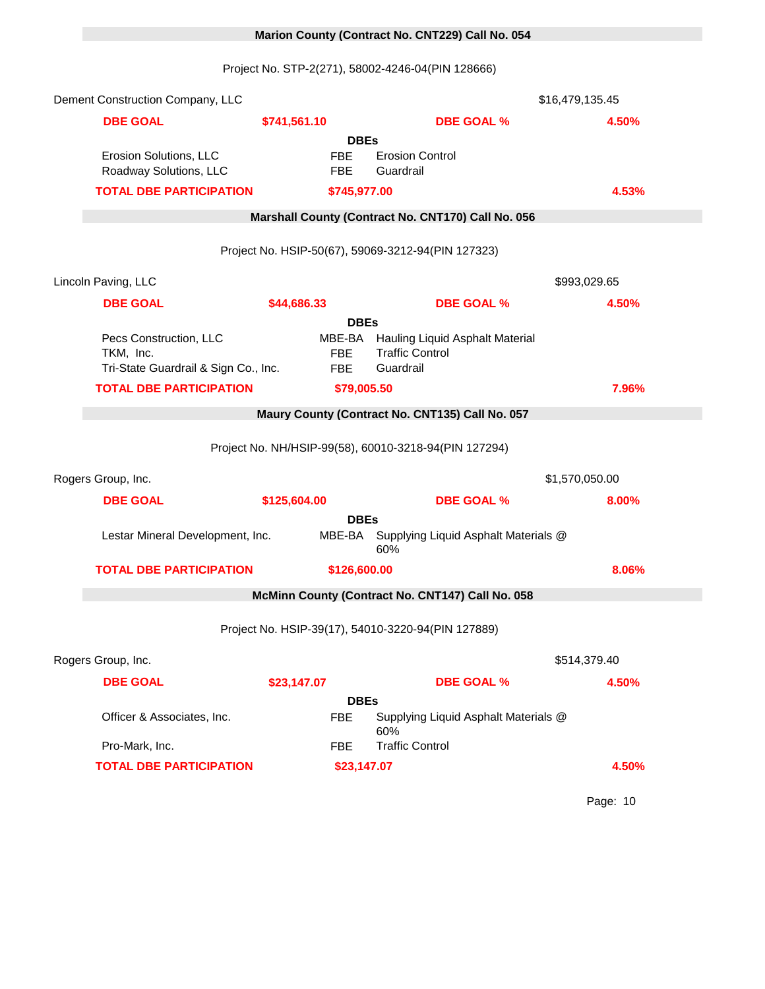# 0 **Marion County (Contract No. CNT229) Call No. 054**

Project No. STP-2(271), 58002-4246-04(PIN 128666)

| Dement Construction Company, LLC                                            |              |                                    |                                                                        | \$16,479,135.45 |
|-----------------------------------------------------------------------------|--------------|------------------------------------|------------------------------------------------------------------------|-----------------|
| <b>DBE GOAL</b>                                                             | \$741,561.10 |                                    | <b>DBE GOAL %</b>                                                      | 4.50%           |
|                                                                             |              | <b>DBEs</b>                        |                                                                        |                 |
| Erosion Solutions, LLC<br>Roadway Solutions, LLC                            |              | <b>FBE</b><br><b>FBE</b>           | <b>Erosion Control</b><br>Guardrail                                    |                 |
| <b>TOTAL DBE PARTICIPATION</b>                                              |              | \$745,977.00                       |                                                                        | 4.53%           |
|                                                                             |              |                                    | Marshall County (Contract No. CNT170) Call No. 056                     |                 |
|                                                                             |              |                                    | Project No. HSIP-50(67), 59069-3212-94(PIN 127323)                     |                 |
| Lincoln Paving, LLC                                                         |              |                                    |                                                                        | \$993,029.65    |
| <b>DBE GOAL</b>                                                             | \$44,686.33  |                                    | <b>DBE GOAL %</b>                                                      | 4.50%           |
|                                                                             |              | <b>DBEs</b>                        |                                                                        |                 |
| Pecs Construction, LLC<br>TKM, Inc.<br>Tri-State Guardrail & Sign Co., Inc. |              | MBE-BA<br><b>FBE</b><br><b>FBE</b> | Hauling Liquid Asphalt Material<br><b>Traffic Control</b><br>Guardrail |                 |
| <b>TOTAL DBE PARTICIPATION</b>                                              |              | \$79,005.50                        |                                                                        | 7.96%           |
|                                                                             |              |                                    | Maury County (Contract No. CNT135) Call No. 057                        |                 |
|                                                                             |              |                                    |                                                                        |                 |
|                                                                             |              |                                    | Project No. NH/HSIP-99(58), 60010-3218-94(PIN 127294)                  |                 |
| Rogers Group, Inc.                                                          |              |                                    |                                                                        | \$1,570,050.00  |
| <b>DBE GOAL</b>                                                             | \$125,604.00 |                                    | <b>DBE GOAL %</b>                                                      | 8.00%           |
|                                                                             |              | <b>DBEs</b>                        |                                                                        |                 |
| Lestar Mineral Development, Inc.                                            |              |                                    | MBE-BA Supplying Liquid Asphalt Materials @<br>60%                     |                 |
| <b>TOTAL DBE PARTICIPATION</b>                                              |              | \$126,600.00                       |                                                                        | 8.06%           |
|                                                                             |              |                                    | McMinn County (Contract No. CNT147) Call No. 058                       |                 |
|                                                                             |              |                                    | Project No. HSIP-39(17), 54010-3220-94(PIN 127889)                     |                 |
| Rogers Group, Inc.                                                          |              |                                    |                                                                        | \$514,379.40    |
| <b>DBE GOAL</b>                                                             | \$23,147.07  |                                    | <b>DBE GOAL %</b>                                                      | 4.50%           |
|                                                                             |              | <b>DBEs</b>                        |                                                                        |                 |
| Officer & Associates, Inc.                                                  |              | <b>FBE</b>                         | Supplying Liquid Asphalt Materials @<br>60%                            |                 |
| Pro-Mark, Inc.                                                              |              | <b>FBE</b>                         | <b>Traffic Control</b>                                                 |                 |
| <b>TOTAL DBE PARTICIPATION</b>                                              |              | \$23,147.07                        |                                                                        | 4.50%           |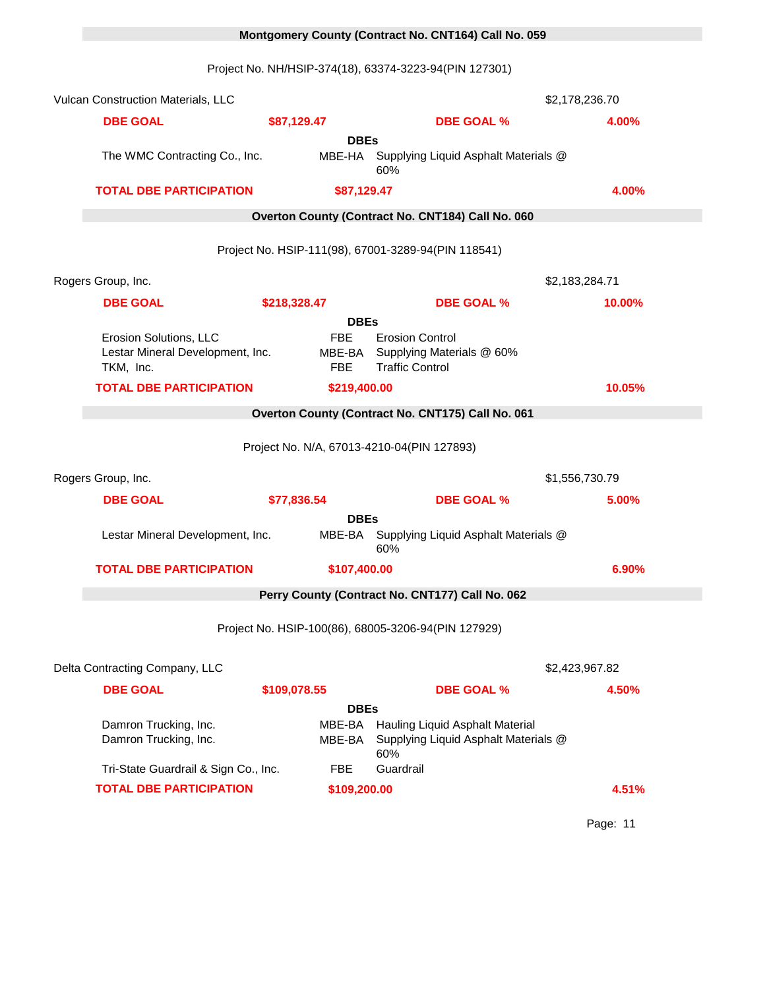# 0 **Montgomery County (Contract No. CNT164) Call No. 059**

Project No. NH/HSIP-374(18), 63374-3223-94(PIN 127301)

| Vulcan Construction Materials, LLC                                      |                                    |             |                                                                                | \$2,178,236.70 |
|-------------------------------------------------------------------------|------------------------------------|-------------|--------------------------------------------------------------------------------|----------------|
| <b>DBE GOAL</b>                                                         | \$87,129.47                        |             | <b>DBE GOAL %</b>                                                              | 4.00%          |
| The WMC Contracting Co., Inc.                                           | MBE-HA                             | <b>DBEs</b> | Supplying Liquid Asphalt Materials @<br>60%                                    |                |
| <b>TOTAL DBE PARTICIPATION</b>                                          | \$87,129.47                        |             |                                                                                | 4.00%          |
|                                                                         |                                    |             | Overton County (Contract No. CNT184) Call No. 060                              |                |
|                                                                         |                                    |             | Project No. HSIP-111(98), 67001-3289-94(PIN 118541)                            |                |
| Rogers Group, Inc.                                                      |                                    |             |                                                                                | \$2,183,284.71 |
| <b>DBE GOAL</b>                                                         | \$218,328.47                       |             | <b>DBE GOAL %</b>                                                              | 10.00%         |
|                                                                         |                                    | <b>DBEs</b> |                                                                                |                |
| Erosion Solutions, LLC<br>Lestar Mineral Development, Inc.<br>TKM, Inc. | <b>FBE</b><br>MBE-BA<br><b>FBE</b> |             | <b>Erosion Control</b><br>Supplying Materials @ 60%<br><b>Traffic Control</b>  |                |
| <b>TOTAL DBE PARTICIPATION</b>                                          | \$219,400.00                       |             |                                                                                | 10.05%         |
|                                                                         |                                    |             | Overton County (Contract No. CNT175) Call No. 061                              |                |
|                                                                         |                                    |             | Project No. N/A, 67013-4210-04(PIN 127893)                                     |                |
| Rogers Group, Inc.                                                      |                                    |             |                                                                                | \$1,556,730.79 |
| <b>DBE GOAL</b>                                                         | \$77,836.54                        |             | <b>DBE GOAL %</b>                                                              | 5.00%          |
|                                                                         |                                    | <b>DBEs</b> |                                                                                |                |
| Lestar Mineral Development, Inc.                                        |                                    |             | MBE-BA Supplying Liquid Asphalt Materials @<br>60%                             |                |
| <b>TOTAL DBE PARTICIPATION</b>                                          | \$107,400.00                       |             |                                                                                | 6.90%          |
|                                                                         |                                    |             | Perry County (Contract No. CNT177) Call No. 062                                |                |
|                                                                         |                                    |             | Project No. HSIP-100(86), 68005-3206-94(PIN 127929)                            |                |
| Delta Contracting Company, LLC                                          |                                    |             |                                                                                | \$2,423,967.82 |
| <b>DBE GOAL</b>                                                         | \$109,078.55                       |             | <b>DBE GOAL %</b>                                                              | 4.50%          |
|                                                                         |                                    | <b>DBEs</b> |                                                                                |                |
| Damron Trucking, Inc.<br>Damron Trucking, Inc.                          | MBE-BA<br>MBE-BA                   |             | Hauling Liquid Asphalt Material<br>Supplying Liquid Asphalt Materials @<br>60% |                |
| Tri-State Guardrail & Sign Co., Inc.                                    | <b>FBE</b>                         |             | Guardrail                                                                      |                |
| <b>TOTAL DBE PARTICIPATION</b>                                          | \$109,200.00                       |             |                                                                                | 4.51%          |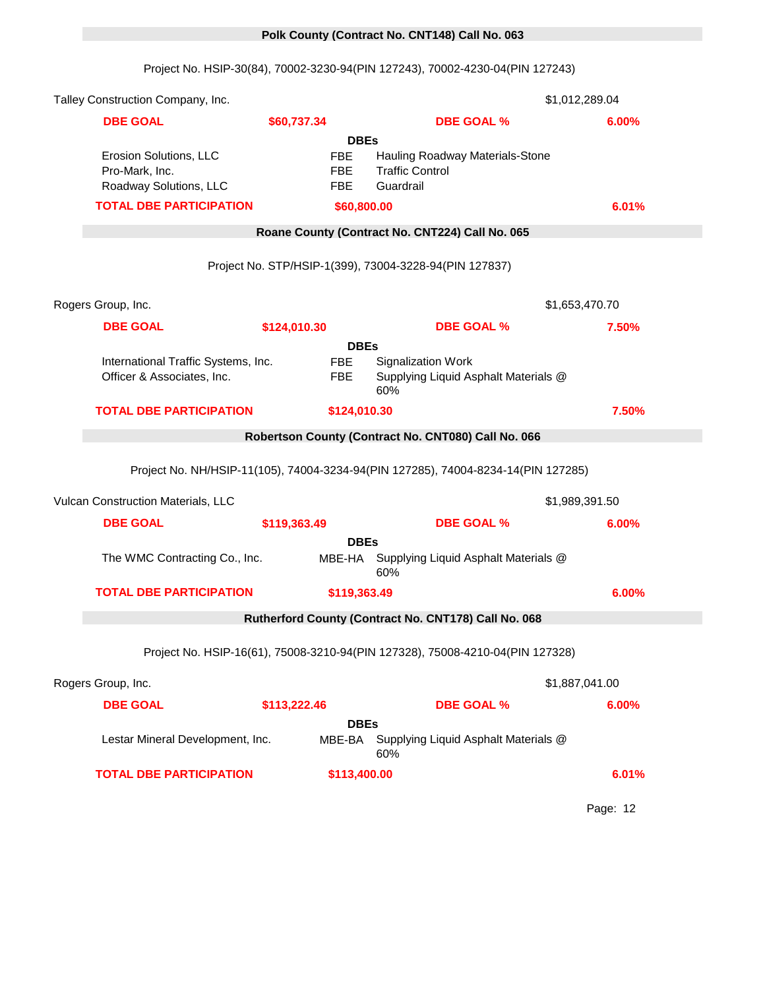# 0 **Polk County (Contract No. CNT148) Call No. 063**

Project No. HSIP-30(84), 70002-3230-94(PIN 127243), 70002-4230-04(PIN 127243)

| Talley Construction Company, Inc.                                  |              |                                                       |                                                                                   | \$1,012,289.04 |
|--------------------------------------------------------------------|--------------|-------------------------------------------------------|-----------------------------------------------------------------------------------|----------------|
| <b>DBE GOAL</b>                                                    | \$60,737.34  |                                                       | <b>DBE GOAL %</b>                                                                 | 6.00%          |
| Erosion Solutions, LLC<br>Pro-Mark, Inc.<br>Roadway Solutions, LLC |              | <b>DBEs</b><br><b>FBE</b><br><b>FBE</b><br><b>FBE</b> | Hauling Roadway Materials-Stone<br><b>Traffic Control</b><br>Guardrail            |                |
| <b>TOTAL DBE PARTICIPATION</b>                                     |              | \$60,800.00                                           |                                                                                   | 6.01%          |
|                                                                    |              |                                                       | Roane County (Contract No. CNT224) Call No. 065                                   |                |
|                                                                    |              |                                                       | Project No. STP/HSIP-1(399), 73004-3228-94(PIN 127837)                            |                |
| Rogers Group, Inc.                                                 |              |                                                       |                                                                                   | \$1,653,470.70 |
| <b>DBE GOAL</b>                                                    | \$124,010.30 |                                                       | <b>DBE GOAL %</b>                                                                 | 7.50%          |
|                                                                    |              | <b>DBEs</b>                                           |                                                                                   |                |
| International Traffic Systems, Inc.<br>Officer & Associates, Inc.  |              | <b>FBE</b><br><b>FBE</b>                              | <b>Signalization Work</b><br>Supplying Liquid Asphalt Materials @<br>60%          |                |
| <b>TOTAL DBE PARTICIPATION</b>                                     |              | \$124,010.30                                          |                                                                                   | 7.50%          |
|                                                                    |              |                                                       | Robertson County (Contract No. CNT080) Call No. 066                               |                |
|                                                                    |              |                                                       | Project No. NH/HSIP-11(105), 74004-3234-94(PIN 127285), 74004-8234-14(PIN 127285) |                |
| Vulcan Construction Materials, LLC                                 |              |                                                       |                                                                                   | \$1,989,391.50 |
| <b>DBE GOAL</b>                                                    | \$119,363.49 |                                                       | <b>DBE GOAL %</b>                                                                 | 6.00%          |
| The WMC Contracting Co., Inc.                                      |              | <b>DBEs</b><br>MBE-HA                                 | Supplying Liquid Asphalt Materials @<br>60%                                       |                |
| <b>TOTAL DBE PARTICIPATION</b>                                     |              | \$119,363.49                                          |                                                                                   | 6.00%          |
|                                                                    |              |                                                       | Rutherford County (Contract No. CNT178) Call No. 068                              |                |
|                                                                    |              |                                                       | Project No. HSIP-16(61), 75008-3210-94(PIN 127328), 75008-4210-04(PIN 127328)     |                |
| Rogers Group, Inc.                                                 |              |                                                       |                                                                                   | \$1,887,041.00 |
| <b>DBE GOAL</b>                                                    | \$113,222.46 |                                                       | <b>DBE GOAL %</b>                                                                 | 6.00%          |
| Lestar Mineral Development, Inc.                                   |              | <b>DBEs</b>                                           | MBE-BA Supplying Liquid Asphalt Materials @<br>60%                                |                |
| <b>TOTAL DBE PARTICIPATION</b>                                     |              | \$113,400.00                                          |                                                                                   | 6.01%          |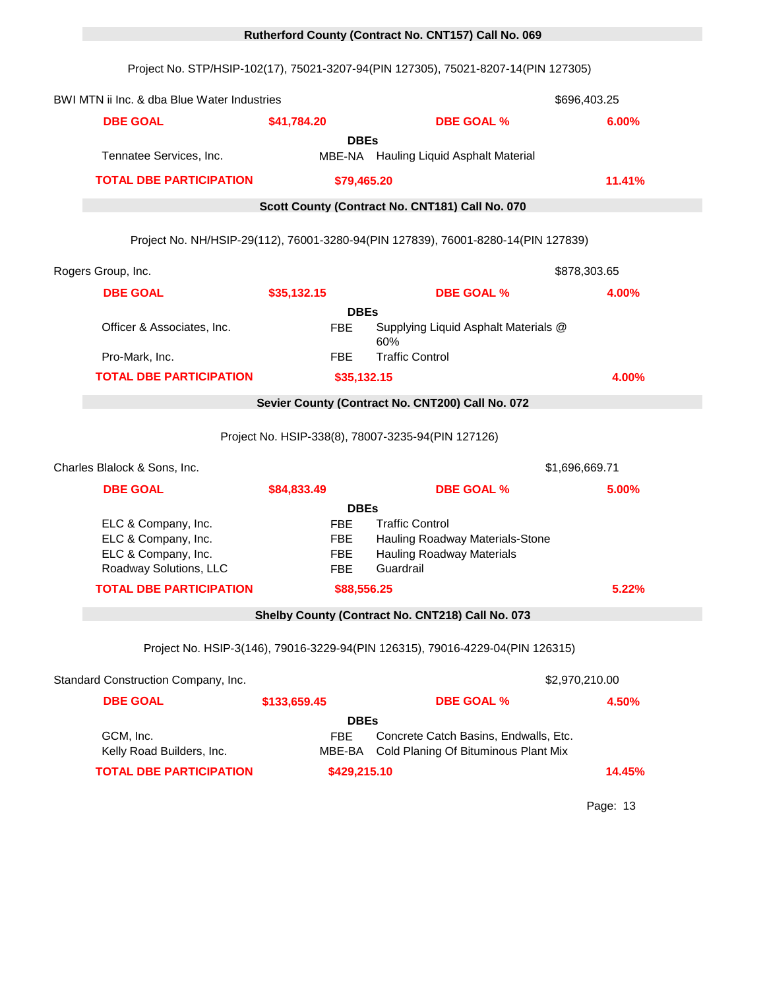# Project No. STP/HSIP-102(17), 75021-3207-94(PIN 127305), 75021-8207-14(PIN 127305) BWI MTN ii Inc. & dba Blue Water Industries 1596,403.25 **DBE GOAL \$41,784.20 DBE GOAL % 6.00% DBEs** Tennatee Services, Inc. The MBE-NA Hauling Liquid Asphalt Material **TOTAL DBE PARTICIPATION \$79,465.20 11.41%** 0 **Scott County (Contract No. CNT181) Call No. 070** Project No. NH/HSIP-29(112), 76001-3280-94(PIN 127839), 76001-8280-14(PIN 127839) Rogers Group, Inc. 15922 \$878,303.65 **DBE GOAL \$35,132.15 DBE GOAL % 4.00% DBEs** Officer & Associates, Inc. FBE Supplying Liquid Asphalt Materials @ 60% Pro-Mark, Inc. Traffic Control **FBE** Traffic Control **TOTAL DBE PARTICIPATION \$35,132.15 4.00%** 0 **Sevier County (Contract No. CNT200) Call No. 072** Project No. HSIP-338(8), 78007-3235-94(PIN 127126) Charles Blalock & Sons, Inc. 15902 \$1,696,669.71 **DBE GOAL \$84,833.49 DBE GOAL % 5.00% DBEs** ELC & Company, Inc. FBE Traffic Control ELC & Company, Inc. The FBE Hauling Roadway Materials-Stone ELC & Company, Inc. The FBE Hauling Roadway Materials Roadway Solutions, LLC FBE Guardrail **TOTAL DBE PARTICIPATION \$88,556.25 5.22%** 0 **Shelby County (Contract No. CNT218) Call No. 073** Project No. HSIP-3(146), 79016-3229-94(PIN 126315), 79016-4229-04(PIN 126315) Standard Construction Company, Inc. 15878 \$2,970,210.00 **DBE GOAL \$133,659.45 DBE GOAL % 4.50% DBEs** GCM, Inc. FBE Concrete Catch Basins, Endwalls, Etc.  $\overline{S}$ Kelly Road Builders, Inc. The MBE-BA Cold Planing Of Bituminous Plant Mix **TOTAL DBE PARTICIPATION \$429,215.10 14.45%**

0 **Rutherford County (Contract No. CNT157) Call No. 069**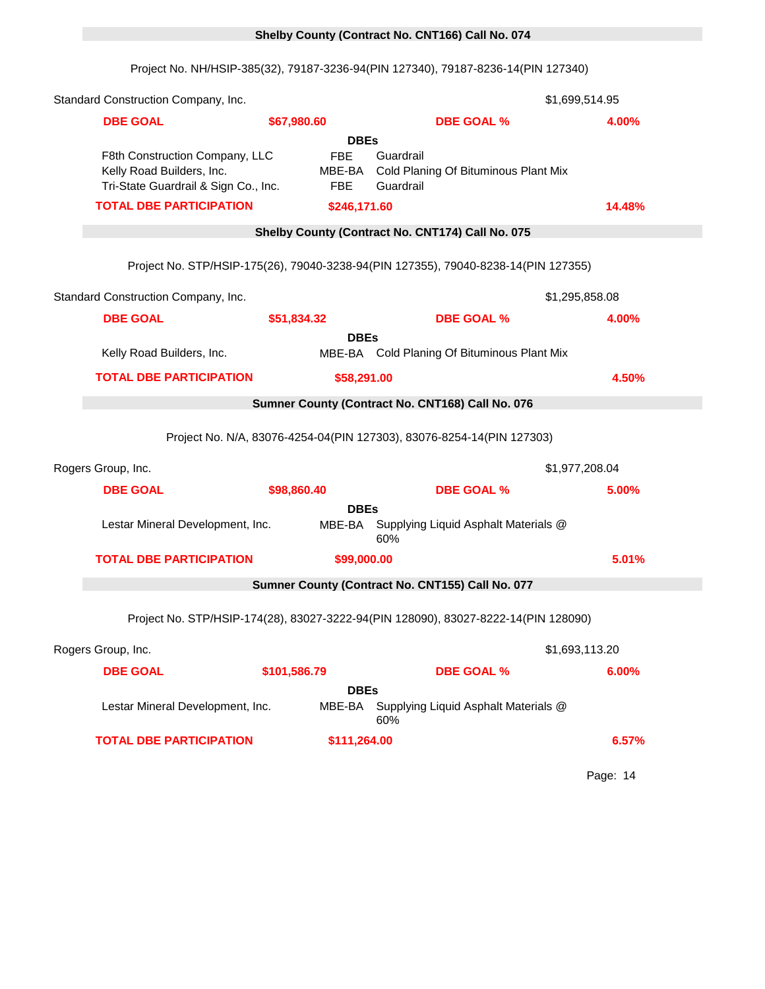#### 0 **Shelby County (Contract No. CNT166) Call No. 074**

Project No. NH/HSIP-385(32), 79187-3236-94(PIN 127340), 79187-8236-14(PIN 127340)

| Standard Construction Company, Inc.                                                                 |                          |                       | \$1,699,514.95                                                                     |        |
|-----------------------------------------------------------------------------------------------------|--------------------------|-----------------------|------------------------------------------------------------------------------------|--------|
| <b>DBE GOAL</b>                                                                                     | \$67,980.60              |                       | <b>DBE GOAL %</b>                                                                  | 4.00%  |
|                                                                                                     |                          | <b>DBEs</b>           |                                                                                    |        |
| F8th Construction Company, LLC<br>Kelly Road Builders, Inc.<br>Tri-State Guardrail & Sign Co., Inc. | <b>FBE</b><br><b>FBE</b> | MBE-BA                | Guardrail<br>Cold Planing Of Bituminous Plant Mix<br>Guardrail                     |        |
| <b>TOTAL DBE PARTICIPATION</b>                                                                      |                          | \$246,171.60          |                                                                                    | 14.48% |
|                                                                                                     |                          |                       | Shelby County (Contract No. CNT174) Call No. 075                                   |        |
|                                                                                                     |                          |                       | Project No. STP/HSIP-175(26), 79040-3238-94(PIN 127355), 79040-8238-14(PIN 127355) |        |
| Standard Construction Company, Inc.                                                                 |                          |                       | \$1,295,858.08                                                                     |        |
| <b>DBE GOAL</b>                                                                                     | \$51,834.32              |                       | <b>DBE GOAL %</b>                                                                  | 4.00%  |
| Kelly Road Builders, Inc.                                                                           |                          | <b>DBEs</b>           | MBE-BA Cold Planing Of Bituminous Plant Mix                                        |        |
| <b>TOTAL DBE PARTICIPATION</b>                                                                      |                          | \$58,291.00           |                                                                                    | 4.50%  |
|                                                                                                     |                          |                       | Sumner County (Contract No. CNT168) Call No. 076                                   |        |
|                                                                                                     |                          |                       |                                                                                    |        |
|                                                                                                     |                          |                       | Project No. N/A, 83076-4254-04(PIN 127303), 83076-8254-14(PIN 127303)              |        |
| Rogers Group, Inc.                                                                                  |                          |                       | \$1,977,208.04                                                                     |        |
| <b>DBE GOAL</b>                                                                                     | \$98,860.40              |                       | <b>DBE GOAL %</b>                                                                  | 5.00%  |
| Lestar Mineral Development, Inc.                                                                    |                          | <b>DBEs</b>           | MBE-BA Supplying Liquid Asphalt Materials @<br>60%                                 |        |
| <b>TOTAL DBE PARTICIPATION</b>                                                                      |                          | \$99,000.00           |                                                                                    | 5.01%  |
|                                                                                                     |                          |                       | Sumner County (Contract No. CNT155) Call No. 077                                   |        |
|                                                                                                     |                          |                       |                                                                                    |        |
|                                                                                                     |                          |                       | Project No. STP/HSIP-174(28), 83027-3222-94(PIN 128090), 83027-8222-14(PIN 128090) |        |
| Rogers Group, Inc.                                                                                  |                          |                       | \$1,693,113.20                                                                     |        |
| <b>DBE GOAL</b>                                                                                     | \$101,586.79             |                       | <b>DBE GOAL %</b>                                                                  | 6.00%  |
| Lestar Mineral Development, Inc.                                                                    |                          | <b>DBEs</b><br>MBE-BA | Supplying Liquid Asphalt Materials @<br>60%                                        |        |
| <b>TOTAL DBE PARTICIPATION</b>                                                                      |                          | \$111,264.00          |                                                                                    | 6.57%  |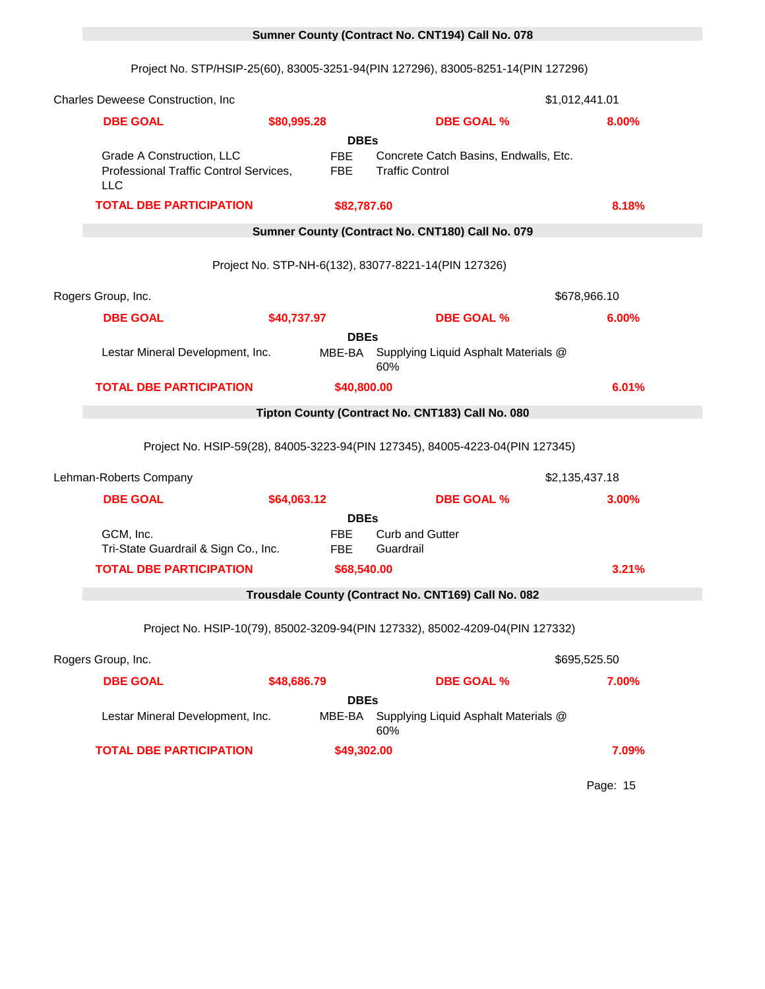# 0 **Sumner County (Contract No. CNT194) Call No. 078**

Project No. STP/HSIP-25(60), 83005-3251-94(PIN 127296), 83005-8251-14(PIN 127296)

| Charles Deweese Construction, Inc.                                                |             |                                         |                                                                               | \$1,012,441.01 |
|-----------------------------------------------------------------------------------|-------------|-----------------------------------------|-------------------------------------------------------------------------------|----------------|
| <b>DBE GOAL</b>                                                                   | \$80,995.28 |                                         | <b>DBE GOAL %</b>                                                             | 8.00%          |
|                                                                                   |             | <b>DBEs</b>                             |                                                                               |                |
| Grade A Construction, LLC<br>Professional Traffic Control Services,<br><b>LLC</b> |             | <b>FBE</b><br><b>FBE</b>                | Concrete Catch Basins, Endwalls, Etc.<br><b>Traffic Control</b>               |                |
| <b>TOTAL DBE PARTICIPATION</b>                                                    |             | \$82,787.60                             |                                                                               | 8.18%          |
|                                                                                   |             |                                         | Sumner County (Contract No. CNT180) Call No. 079                              |                |
|                                                                                   |             |                                         | Project No. STP-NH-6(132), 83077-8221-14(PIN 127326)                          |                |
| Rogers Group, Inc.                                                                |             |                                         |                                                                               | \$678,966.10   |
| <b>DBE GOAL</b>                                                                   | \$40,737.97 |                                         | <b>DBE GOAL %</b>                                                             | 6.00%          |
|                                                                                   |             | <b>DBEs</b>                             |                                                                               |                |
| Lestar Mineral Development, Inc.                                                  |             | MBE-BA                                  | Supplying Liquid Asphalt Materials @<br>60%                                   |                |
| <b>TOTAL DBE PARTICIPATION</b>                                                    |             | \$40,800.00                             |                                                                               | 6.01%          |
|                                                                                   |             |                                         | Tipton County (Contract No. CNT183) Call No. 080                              |                |
|                                                                                   |             |                                         | Project No. HSIP-59(28), 84005-3223-94(PIN 127345), 84005-4223-04(PIN 127345) |                |
| Lehman-Roberts Company                                                            |             |                                         |                                                                               | \$2,135,437.18 |
| <b>DBE GOAL</b>                                                                   | \$64,063.12 |                                         | <b>DBE GOAL %</b>                                                             | 3.00%          |
| GCM, Inc.<br>Tri-State Guardrail & Sign Co., Inc.                                 |             | <b>DBEs</b><br><b>FBE</b><br><b>FBE</b> | <b>Curb and Gutter</b><br>Guardrail                                           |                |
| <b>TOTAL DBE PARTICIPATION</b>                                                    |             | \$68,540.00                             |                                                                               | 3.21%          |
|                                                                                   |             |                                         | Trousdale County (Contract No. CNT169) Call No. 082                           |                |
|                                                                                   |             |                                         | Project No. HSIP-10(79), 85002-3209-94(PIN 127332), 85002-4209-04(PIN 127332) |                |
| Rogers Group, Inc.                                                                |             |                                         |                                                                               | \$695,525.50   |
| <b>DBE GOAL</b>                                                                   | \$48,686.79 |                                         | <b>DBE GOAL %</b>                                                             | 7.00%          |
|                                                                                   |             | <b>DBEs</b>                             |                                                                               |                |
| Lestar Mineral Development, Inc.                                                  |             | MBE-BA                                  | Supplying Liquid Asphalt Materials @<br>60%                                   |                |
| <b>TOTAL DBE PARTICIPATION</b>                                                    |             | \$49,302.00                             |                                                                               | 7.09%          |
|                                                                                   |             |                                         |                                                                               |                |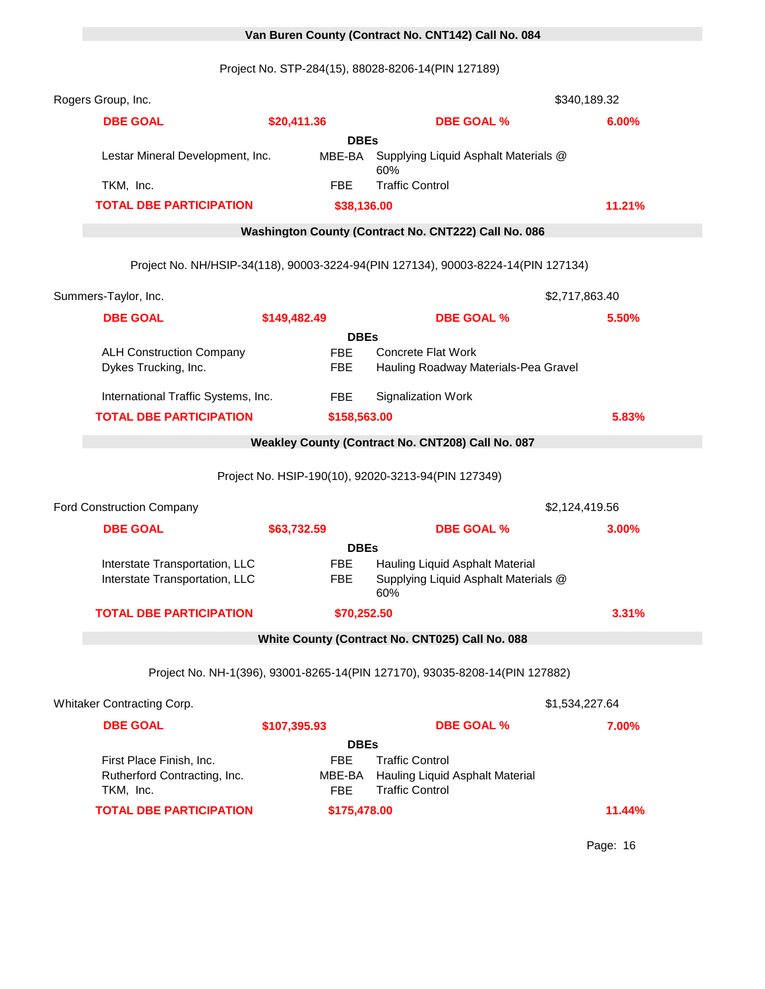# 0 **Van Buren County (Contract No. CNT142) Call No. 084**

Project No. STP-284(15), 88028-8206-14(PIN 127189)

| Rogers Group, Inc.                                               |                          |                                                                                   | \$340,189.32   |
|------------------------------------------------------------------|--------------------------|-----------------------------------------------------------------------------------|----------------|
| <b>DBE GOAL</b>                                                  | \$20,411.36              | <b>DBE GOAL %</b>                                                                 | 6.00%          |
|                                                                  | <b>DBEs</b>              |                                                                                   |                |
| Lestar Mineral Development, Inc.                                 | MBE-BA                   | Supplying Liquid Asphalt Materials @<br>60%                                       |                |
| TKM, Inc.                                                        | <b>FBE</b>               | <b>Traffic Control</b>                                                            |                |
| <b>TOTAL DBE PARTICIPATION</b>                                   | \$38,136.00              |                                                                                   | 11.21%         |
|                                                                  |                          | Washington County (Contract No. CNT222) Call No. 086                              |                |
|                                                                  |                          | Project No. NH/HSIP-34(118), 90003-3224-94(PIN 127134), 90003-8224-14(PIN 127134) |                |
| Summers-Taylor, Inc.                                             |                          |                                                                                   | \$2,717,863.40 |
| <b>DBE GOAL</b>                                                  | \$149,482.49             | <b>DBE GOAL %</b>                                                                 | 5.50%          |
|                                                                  | <b>DBEs</b>              |                                                                                   |                |
| <b>ALH Construction Company</b><br>Dykes Trucking, Inc.          | <b>FBE</b><br><b>FBE</b> | <b>Concrete Flat Work</b><br>Hauling Roadway Materials-Pea Gravel                 |                |
| International Traffic Systems, Inc.                              | <b>FBE</b>               | <b>Signalization Work</b>                                                         |                |
| <b>TOTAL DBE PARTICIPATION</b>                                   | \$158,563.00             |                                                                                   | 5.83%          |
|                                                                  |                          | Weakley County (Contract No. CNT208) Call No. 087                                 |                |
|                                                                  |                          | Project No. HSIP-190(10), 92020-3213-94(PIN 127349)                               |                |
| Ford Construction Company                                        |                          |                                                                                   | \$2,124,419.56 |
| <b>DBE GOAL</b>                                                  | \$63,732.59              | <b>DBE GOAL %</b>                                                                 | 3.00%          |
|                                                                  | <b>DBEs</b>              |                                                                                   |                |
| Interstate Transportation, LLC<br>Interstate Transportation, LLC | <b>FBE</b><br><b>FBE</b> | Hauling Liquid Asphalt Material<br>Supplying Liquid Asphalt Materials @<br>60%    |                |
| <b>TOTAL DBE PARTICIPATION</b>                                   | \$70,252.50              |                                                                                   | 3.31%          |
|                                                                  |                          |                                                                                   |                |
|                                                                  |                          | Project No. NH-1(396), 93001-8265-14(PIN 127170), 93035-8208-14(PIN 127882)       |                |
| Whitaker Contracting Corp.                                       |                          |                                                                                   | \$1,534,227.64 |
| <b>DBE GOAL</b>                                                  | \$107,395.93             | <b>DBE GOAL %</b>                                                                 | 7.00%          |
|                                                                  | <b>DBEs</b>              |                                                                                   |                |
| First Place Finish, Inc.                                         | <b>FBE</b>               | <b>Traffic Control</b>                                                            |                |
| Rutherford Contracting, Inc.<br>TKM, Inc.                        | MBE-BA<br><b>FBE</b>     | Hauling Liquid Asphalt Material<br><b>Traffic Control</b>                         |                |
| <b>TOTAL DBE PARTICIPATION</b>                                   | \$175,478.00             |                                                                                   | 11.44%         |
|                                                                  |                          |                                                                                   |                |